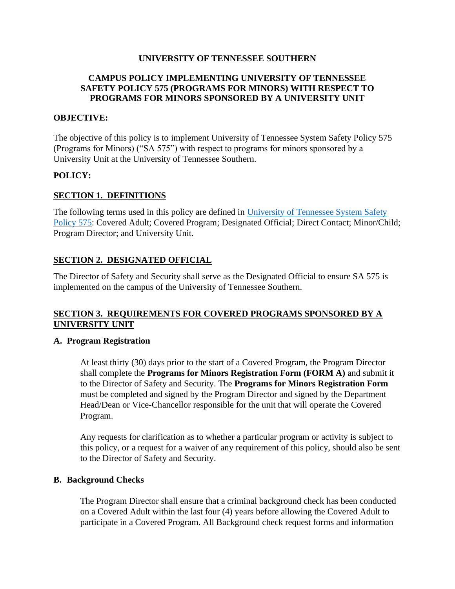# **UNIVERSITY OF TENNESSEE SOUTHERN**

### **CAMPUS POLICY IMPLEMENTING UNIVERSITY OF TENNESSEE SAFETY POLICY 575 (PROGRAMS FOR MINORS) WITH RESPECT TO PROGRAMS FOR MINORS SPONSORED BY A UNIVERSITY UNIT**

#### **OBJECTIVE:**

The objective of this policy is to implement University of Tennessee System Safety Policy 575 (Programs for Minors) ("SA 575") with respect to programs for minors sponsored by a University Unit at the University of Tennessee Southern.

#### **POLICY:**

#### **SECTION 1. DEFINITIONS**

The following terms used in this policy are defined in [University of Tennessee System Safety](https://universitytennessee.policytech.com/dotNet/documents/?docid=704&public=true)  [Policy 575:](https://universitytennessee.policytech.com/dotNet/documents/?docid=704&public=true) Covered Adult; Covered Program; Designated Official; Direct Contact; Minor/Child; Program Director; and University Unit.

## **SECTION 2. DESIGNATED OFFICIAL**

The Director of Safety and Security shall serve as the Designated Official to ensure SA 575 is implemented on the campus of the University of Tennessee Southern.

# **SECTION 3. REQUIREMENTS FOR COVERED PROGRAMS SPONSORED BY A UNIVERSITY UNIT**

#### **A. Program Registration**

At least thirty (30) days prior to the start of a Covered Program, the Program Director shall complete the **Programs for Minors Registration Form (FORM A)** and submit it to the Director of Safety and Security. The **Programs for Minors Registration Form** must be completed and signed by the Program Director and signed by the Department Head/Dean or Vice-Chancellor responsible for the unit that will operate the Covered Program.

Any requests for clarification as to whether a particular program or activity is subject to this policy, or a request for a waiver of any requirement of this policy, should also be sent to the Director of Safety and Security.

#### **B. Background Checks**

The Program Director shall ensure that a criminal background check has been conducted on a Covered Adult within the last four (4) years before allowing the Covered Adult to participate in a Covered Program. All Background check request forms and information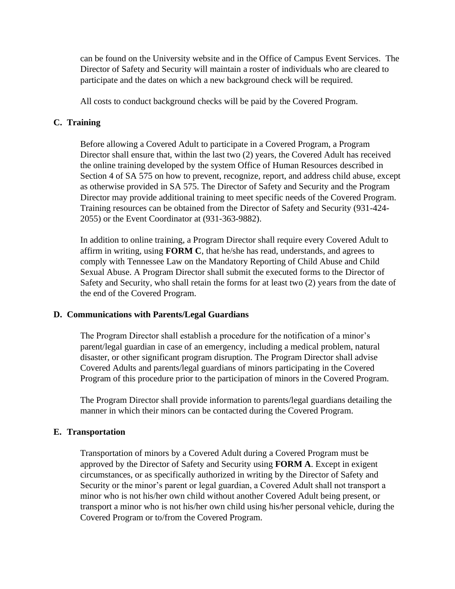can be found on the University website and in the Office of Campus Event Services. The Director of Safety and Security will maintain a roster of individuals who are cleared to participate and the dates on which a new background check will be required.

All costs to conduct background checks will be paid by the Covered Program.

# **C. Training**

Before allowing a Covered Adult to participate in a Covered Program, a Program Director shall ensure that, within the last two (2) years, the Covered Adult has received the online training developed by the system Office of Human Resources described in Section 4 of SA 575 on how to prevent, recognize, report, and address child abuse, except as otherwise provided in SA 575. The Director of Safety and Security and the Program Director may provide additional training to meet specific needs of the Covered Program. Training resources can be obtained from the Director of Safety and Security (931-424- 2055) or the Event Coordinator at (931-363-9882).

In addition to online training, a Program Director shall require every Covered Adult to affirm in writing, using **FORM C**, that he/she has read, understands, and agrees to comply with Tennessee Law on the Mandatory Reporting of Child Abuse and Child Sexual Abuse. A Program Director shall submit the executed forms to the Director of Safety and Security, who shall retain the forms for at least two (2) years from the date of the end of the Covered Program.

#### **D. Communications with Parents/Legal Guardians**

The Program Director shall establish a procedure for the notification of a minor's parent/legal guardian in case of an emergency, including a medical problem, natural disaster, or other significant program disruption. The Program Director shall advise Covered Adults and parents/legal guardians of minors participating in the Covered Program of this procedure prior to the participation of minors in the Covered Program.

The Program Director shall provide information to parents/legal guardians detailing the manner in which their minors can be contacted during the Covered Program.

#### **E. Transportation**

Transportation of minors by a Covered Adult during a Covered Program must be approved by the Director of Safety and Security using **FORM A**. Except in exigent circumstances, or as specifically authorized in writing by the Director of Safety and Security or the minor's parent or legal guardian, a Covered Adult shall not transport a minor who is not his/her own child without another Covered Adult being present, or transport a minor who is not his/her own child using his/her personal vehicle, during the Covered Program or to/from the Covered Program.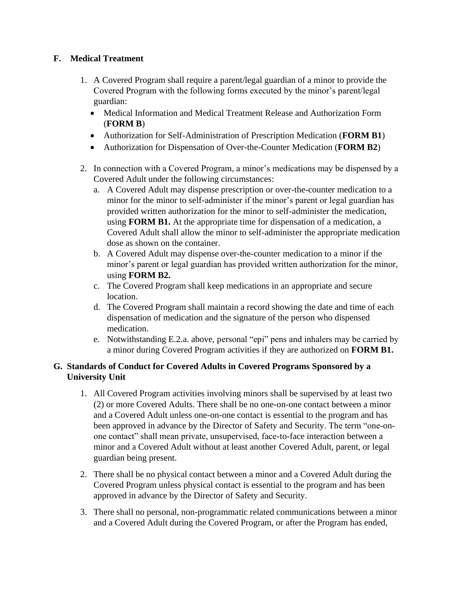# **F. Medical Treatment**

- 1. A Covered Program shall require a parent/legal guardian of a minor to provide the Covered Program with the following forms executed by the minor's parent/legal guardian:
	- Medical Information and Medical Treatment Release and Authorization Form (**FORM B**)
	- Authorization for Self-Administration of Prescription Medication (**FORM B1**)
	- Authorization for Dispensation of Over-the-Counter Medication (**FORM B2**)
- 2. In connection with a Covered Program, a minor's medications may be dispensed by a Covered Adult under the following circumstances:
	- a. A Covered Adult may dispense prescription or over-the-counter medication to a minor for the minor to self-administer if the minor's parent or legal guardian has provided written authorization for the minor to self-administer the medication, using **FORM B1.** At the appropriate time for dispensation of a medication, a Covered Adult shall allow the minor to self-administer the appropriate medication dose as shown on the container.
	- b. A Covered Adult may dispense over-the-counter medication to a minor if the minor's parent or legal guardian has provided written authorization for the minor, using **FORM B2.**
	- c. The Covered Program shall keep medications in an appropriate and secure location.
	- d. The Covered Program shall maintain a record showing the date and time of each dispensation of medication and the signature of the person who dispensed medication.
	- e. Notwithstanding E.2.a. above, personal "epi" pens and inhalers may be carried by a minor during Covered Program activities if they are authorized on **FORM B1.**

# **G. Standards of Conduct for Covered Adults in Covered Programs Sponsored by a University Unit**

- 1. All Covered Program activities involving minors shall be supervised by at least two (2) or more Covered Adults. There shall be no one-on-one contact between a minor and a Covered Adult unless one-on-one contact is essential to the program and has been approved in advance by the Director of Safety and Security. The term "one-onone contact" shall mean private, unsupervised, face-to-face interaction between a minor and a Covered Adult without at least another Covered Adult, parent, or legal guardian being present.
- 2. There shall be no physical contact between a minor and a Covered Adult during the Covered Program unless physical contact is essential to the program and has been approved in advance by the Director of Safety and Security.
- 3. There shall no personal, non-programmatic related communications between a minor and a Covered Adult during the Covered Program, or after the Program has ended,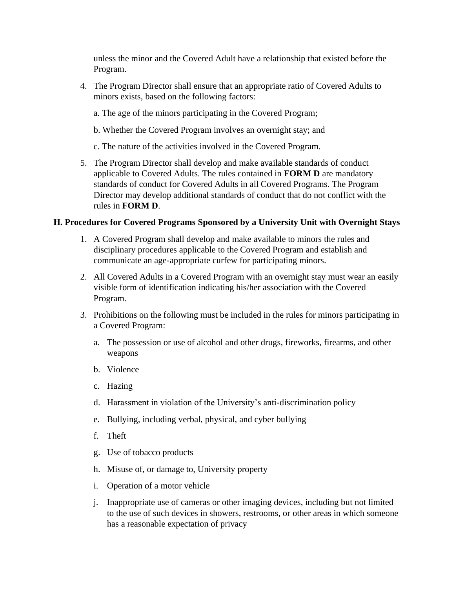unless the minor and the Covered Adult have a relationship that existed before the Program.

- 4. The Program Director shall ensure that an appropriate ratio of Covered Adults to minors exists, based on the following factors:
	- a. The age of the minors participating in the Covered Program;
	- b. Whether the Covered Program involves an overnight stay; and
	- c. The nature of the activities involved in the Covered Program.
- 5. The Program Director shall develop and make available standards of conduct applicable to Covered Adults. The rules contained in **FORM D** are mandatory standards of conduct for Covered Adults in all Covered Programs. The Program Director may develop additional standards of conduct that do not conflict with the rules in **FORM D**.

## **H. Procedures for Covered Programs Sponsored by a University Unit with Overnight Stays**

- 1. A Covered Program shall develop and make available to minors the rules and disciplinary procedures applicable to the Covered Program and establish and communicate an age-appropriate curfew for participating minors.
- 2. All Covered Adults in a Covered Program with an overnight stay must wear an easily visible form of identification indicating his/her association with the Covered Program.
- 3. Prohibitions on the following must be included in the rules for minors participating in a Covered Program:
	- a. The possession or use of alcohol and other drugs, fireworks, firearms, and other weapons
	- b. Violence
	- c. Hazing
	- d. Harassment in violation of the University's anti-discrimination policy
	- e. Bullying, including verbal, physical, and cyber bullying
	- f. Theft
	- g. Use of tobacco products
	- h. Misuse of, or damage to, University property
	- i. Operation of a motor vehicle
	- j. Inappropriate use of cameras or other imaging devices, including but not limited to the use of such devices in showers, restrooms, or other areas in which someone has a reasonable expectation of privacy